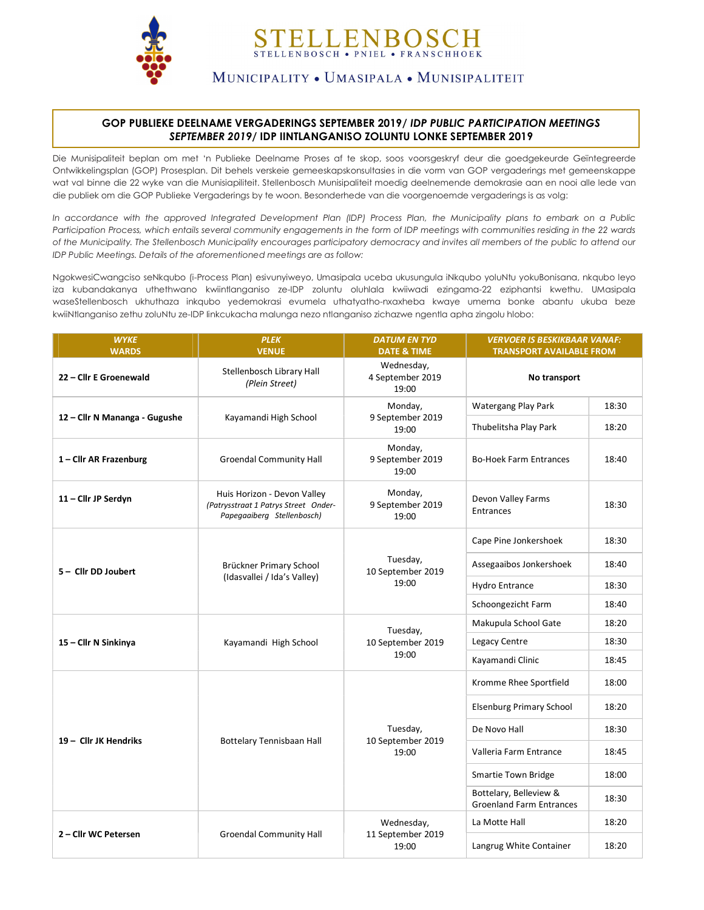

## ELLENBOSCH STELLENBOSCH • PNIEL • FRANSCHHOEK

MUNICIPALITY • UMASIPALA • MUNISIPALITEIT

## GOP PUBLIEKE DEELNAME VERGADERINGS SEPTEMBER 2019/ IDP PUBLIC PARTICIPATION MEETINGS SEPTEMBER 2019/ IDP IINTLANGANISO ZOLUNTU LONKE SEPTEMBER 2019

Die Munisipaliteit beplan om met 'n Publieke Deelname Proses af te skop, soos voorsgeskryf deur die goedgekeurde Geïntegreerde Ontwikkelingsplan (GOP) Prosesplan. Dit behels verskeie gemeeskapskonsultasies in die vorm van GOP vergaderings met gemeenskappe wat val binne die 22 wyke van die Munisiapiliteit. Stellenbosch Munisipaliteit moedig deelnemende demokrasie aan en nooi alle lede van die publiek om die GOP Publieke Vergaderings by te woon. Besonderhede van die voorgenoemde vergaderings is as volg:

In accordance with the approved Integrated Development Plan (IDP) Process Plan, the Municipality plans to embark on a Public Participation Process, which entails several community engagements in the form of IDP meetings with communities residing in the 22 wards of the Municipality. The Stellenbosch Municipality encourages participatory democracy and invites all members of the public to attend our IDP Public Meetings. Details of the aforementioned meetings are as follow:

NgokwesiCwangciso seNkqubo (i-Process Plan) esivunyiweyo, Umasipala uceba ukusungula iNkqubo yoluNtu yokuBonisana, nkqubo leyo iza kubandakanya uthethwano kwiintlanganiso ze-IDP zoluntu oluhlala kwiiwadi ezingama-22 eziphantsi kwethu. UMasipala waseStellenbosch ukhuthaza inkqubo yedemokrasi evumela uthatyatho-nxaxheba kwaye umema bonke abantu ukuba beze kwiiNtlanganiso zethu zoluNtu ze-IDP Iinkcukacha malunga nezo ntlanganiso zichazwe ngentla apha zingolu hlobo:

| <b>WYKE</b><br><b>WARDS</b>   | <b>PLEK</b><br><b>VENUE</b>                                                                       | <b>DATUM EN TYD</b><br><b>DATE &amp; TIME</b> | <b>VERVOER IS BESKIKBAAR VANAF:</b><br><b>TRANSPORT AVAILABLE FROM</b> |       |
|-------------------------------|---------------------------------------------------------------------------------------------------|-----------------------------------------------|------------------------------------------------------------------------|-------|
| 22 - Cllr E Groenewald        | Stellenbosch Library Hall<br>(Plein Street)                                                       | Wednesday,<br>4 September 2019<br>19:00       | No transport                                                           |       |
| 12 - Cllr N Mananga - Gugushe | Kayamandi High School                                                                             | Monday,<br>9 September 2019<br>19:00          | Watergang Play Park                                                    | 18:30 |
|                               |                                                                                                   |                                               | Thubelitsha Play Park                                                  | 18:20 |
| 1-Cllr AR Frazenburg          | <b>Groendal Community Hall</b>                                                                    | Monday,<br>9 September 2019<br>19:00          | <b>Bo-Hoek Farm Entrances</b>                                          | 18:40 |
| 11 - Cllr JP Serdyn           | Huis Horizon - Devon Valley<br>(Patrysstraat 1 Patrys Street Onder-<br>Papegaaiberg Stellenbosch) | Monday,<br>9 September 2019<br>19:00          | Devon Valley Farms<br>Entrances                                        | 18:30 |
| 5 - Cllr DD Joubert           | Brückner Primary School<br>(Idasvallei / Ida's Valley)                                            | Tuesday,<br>10 September 2019<br>19:00        | Cape Pine Jonkershoek                                                  | 18:30 |
|                               |                                                                                                   |                                               | Assegaaibos Jonkershoek                                                | 18:40 |
|                               |                                                                                                   |                                               | Hydro Entrance                                                         | 18:30 |
|                               |                                                                                                   |                                               | Schoongezicht Farm                                                     | 18:40 |
| 15 - Cllr N Sinkinya          | Kayamandi High School                                                                             | Tuesday,<br>10 September 2019<br>19:00        | Makupula School Gate                                                   | 18:20 |
|                               |                                                                                                   |                                               | Legacy Centre                                                          | 18:30 |
|                               |                                                                                                   |                                               | Kayamandi Clinic                                                       | 18:45 |
| 19 - Cllr JK Hendriks         | <b>Bottelary Tennisbaan Hall</b>                                                                  | Tuesday,<br>10 September 2019<br>19:00        | Kromme Rhee Sportfield                                                 | 18:00 |
|                               |                                                                                                   |                                               | <b>Elsenburg Primary School</b>                                        | 18:20 |
|                               |                                                                                                   |                                               | De Novo Hall                                                           | 18:30 |
|                               |                                                                                                   |                                               | Valleria Farm Entrance                                                 | 18:45 |
|                               |                                                                                                   |                                               | <b>Smartie Town Bridge</b>                                             | 18:00 |
|                               |                                                                                                   |                                               | Bottelary, Belleview &<br><b>Groenland Farm Entrances</b>              | 18:30 |
| 2 - Cllr WC Petersen          | <b>Groendal Community Hall</b>                                                                    | Wednesday,<br>11 September 2019<br>19:00      | La Motte Hall                                                          | 18:20 |
|                               |                                                                                                   |                                               | Langrug White Container                                                | 18:20 |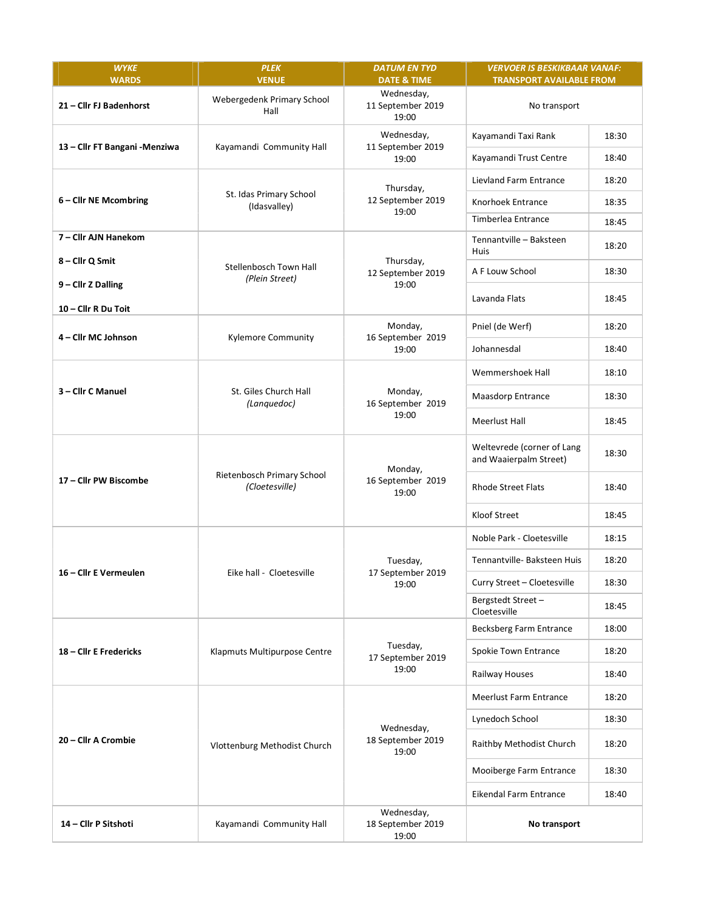| <b>WYKE</b><br><b>WARDS</b>    | <b>PLEK</b><br><b>VENUE</b>                  | <b>DATUM EN TYD</b><br><b>DATE &amp; TIME</b> | <b>VERVOER IS BESKIKBAAR VANAF:</b><br><b>TRANSPORT AVAILABLE FROM</b> |       |
|--------------------------------|----------------------------------------------|-----------------------------------------------|------------------------------------------------------------------------|-------|
| 21 - Cllr FJ Badenhorst        | Webergedenk Primary School<br>Hall           | Wednesday,<br>11 September 2019<br>19:00      | No transport                                                           |       |
| 13 - Cllr FT Bangani - Menziwa | Kayamandi Community Hall                     | Wednesday,<br>11 September 2019<br>19:00      | Kayamandi Taxi Rank                                                    | 18:30 |
|                                |                                              |                                               | Kayamandi Trust Centre                                                 | 18:40 |
| 6 - Cllr NE Mcombring          | St. Idas Primary School<br>(Idasvalley)      | Thursday,<br>12 September 2019<br>19:00       | Lievland Farm Entrance                                                 | 18:20 |
|                                |                                              |                                               | Knorhoek Entrance                                                      | 18:35 |
|                                |                                              |                                               | Timberlea Entrance                                                     | 18:45 |
| 7 – Cllr AJN Hanekom           | Stellenbosch Town Hall<br>(Plein Street)     | Thursday,<br>12 September 2019<br>19:00       | Tennantville - Baksteen<br><b>Huis</b>                                 | 18:20 |
| 8 - Cllr Q Smit                |                                              |                                               | A F Louw School                                                        | 18:30 |
| 9 - Cllr Z Dalling             |                                              |                                               | Lavanda Flats                                                          | 18:45 |
| 10 - Cllr R Du Toit            |                                              |                                               |                                                                        |       |
| 4 - Cllr MC Johnson            | <b>Kylemore Community</b>                    | Monday,<br>16 September 2019<br>19:00         | Pniel (de Werf)                                                        | 18:20 |
|                                |                                              |                                               | Johannesdal                                                            | 18:40 |
| 3-Cllr C Manuel                | St. Giles Church Hall<br>(Languedoc)         | Monday,<br>16 September 2019<br>19:00         | Wemmershoek Hall                                                       | 18:10 |
|                                |                                              |                                               | Maasdorp Entrance                                                      | 18:30 |
|                                |                                              |                                               | Meerlust Hall                                                          | 18:45 |
| 17 - Cllr PW Biscombe          | Rietenbosch Primary School<br>(Cloetesville) | Monday,<br>16 September 2019<br>19:00         | Weltevrede (corner of Lang<br>and Waaierpalm Street)                   | 18:30 |
|                                |                                              |                                               | <b>Rhode Street Flats</b>                                              | 18:40 |
|                                |                                              |                                               | Kloof Street                                                           | 18:45 |
| 16 - Cllr E Vermeulen          | Eike hall - Cloetesville                     | Tuesday,<br>17 September 2019<br>19:00        | Noble Park - Cloetesville                                              | 18:15 |
|                                |                                              |                                               | Tennantville- Baksteen Huis                                            | 18:20 |
|                                |                                              |                                               | Curry Street - Cloetesville                                            | 18:30 |
|                                |                                              |                                               | Bergstedt Street-<br>Cloetesville                                      | 18:45 |
| 18 - Cllr E Fredericks         | Klapmuts Multipurpose Centre                 | Tuesday,<br>17 September 2019<br>19:00        | Becksberg Farm Entrance                                                | 18:00 |
|                                |                                              |                                               | Spokie Town Entrance                                                   | 18:20 |
|                                |                                              |                                               | Railway Houses                                                         | 18:40 |
| 20 - Cllr A Crombie            | Vlottenburg Methodist Church                 | Wednesday,<br>18 September 2019<br>19:00      | Meerlust Farm Entrance                                                 | 18:20 |
|                                |                                              |                                               | Lynedoch School                                                        | 18:30 |
|                                |                                              |                                               | Raithby Methodist Church                                               | 18:20 |
|                                |                                              |                                               | Mooiberge Farm Entrance                                                | 18:30 |
|                                |                                              |                                               | Eikendal Farm Entrance                                                 | 18:40 |
| 14 - Cllr P Sitshoti           | Kayamandi Community Hall                     | Wednesday,<br>18 September 2019<br>19:00      | No transport                                                           |       |